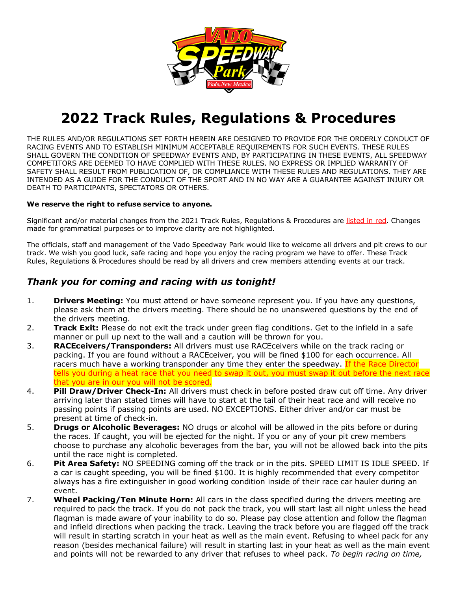

# **2022 Track Rules, Regulations & Procedures**

THE RULES AND/OR REGULATIONS SET FORTH HEREIN ARE DESIGNED TO PROVIDE FOR THE ORDERLY CONDUCT OF RACING EVENTS AND TO ESTABLISH MINIMUM ACCEPTABLE REQUIREMENTS FOR SUCH EVENTS. THESE RULES SHALL GOVERN THE CONDITION OF SPEEDWAY EVENTS AND, BY PARTICIPATING IN THESE EVENTS, ALL SPEEDWAY COMPETITORS ARE DEEMED TO HAVE COMPLIED WITH THESE RULES. NO EXPRESS OR IMPLIED WARRANTY OF SAFETY SHALL RESULT FROM PUBLICATION OF, OR COMPLIANCE WITH THESE RULES AND REGULATIONS. THEY ARE INTENDED AS A GUIDE FOR THE CONDUCT OF THE SPORT AND IN NO WAY ARE A GUARANTEE AGAINST INJURY OR DEATH TO PARTICIPANTS, SPECTATORS OR OTHERS.

#### **We reserve the right to refuse service to anyone.**

Significant and/or material changes from the 2021 Track Rules, Regulations & Procedures are listed in red. Changes made for grammatical purposes or to improve clarity are not highlighted.

The officials, staff and management of the Vado Speedway Park would like to welcome all drivers and pit crews to our track. We wish you good luck, safe racing and hope you enjoy the racing program we have to offer. These Track Rules, Regulations & Procedures should be read by all drivers and crew members attending events at our track.

## *Thank you for coming and racing with us tonight!*

- 1. **Drivers Meeting:** You must attend or have someone represent you. If you have any questions, please ask them at the drivers meeting. There should be no unanswered questions by the end of the drivers meeting.
- 2. **Track Exit:** Please do not exit the track under green flag conditions. Get to the infield in a safe manner or pull up next to the wall and a caution will be thrown for you.
- 3. **RACEceivers/Transponders:** All drivers must use RACEceivers while on the track racing or packing. If you are found without a RACEceiver, you will be fined \$100 for each occurrence. All racers much have a working transponder any time they enter the speedway. If the Race Director tells you during a heat race that you need to swap it out, you must swap it out before the next race that you are in our you will not be scored.
- 4. **Pill Draw/Driver Check-In:** All drivers must check in before posted draw cut off time. Any driver arriving later than stated times will have to start at the tail of their heat race and will receive no passing points if passing points are used. NO EXCEPTIONS. Either driver and/or car must be present at time of check-in.
- 5. **Drugs or Alcoholic Beverages:** NO drugs or alcohol will be allowed in the pits before or during the races. If caught, you will be ejected for the night. If you or any of your pit crew members choose to purchase any alcoholic beverages from the bar, you will not be allowed back into the pits until the race night is completed.
- 6. **Pit Area Safety:** NO SPEEDING coming off the track or in the pits. SPEED LIMIT IS IDLE SPEED. If a car is caught speeding, you will be fined \$100. It is highly recommended that every competitor always has a fire extinguisher in good working condition inside of their race car hauler during an event.
- 7. **Wheel Packing/Ten Minute Horn:** All cars in the class specified during the drivers meeting are required to pack the track. If you do not pack the track, you will start last all night unless the head flagman is made aware of your inability to do so. Please pay close attention and follow the flagman and infield directions when packing the track. Leaving the track before you are flagged off the track will result in starting scratch in your heat as well as the main event. Refusing to wheel pack for any reason (besides mechanical failure) will result in starting last in your heat as well as the main event and points will not be rewarded to any driver that refuses to wheel pack. *To begin racing on time,*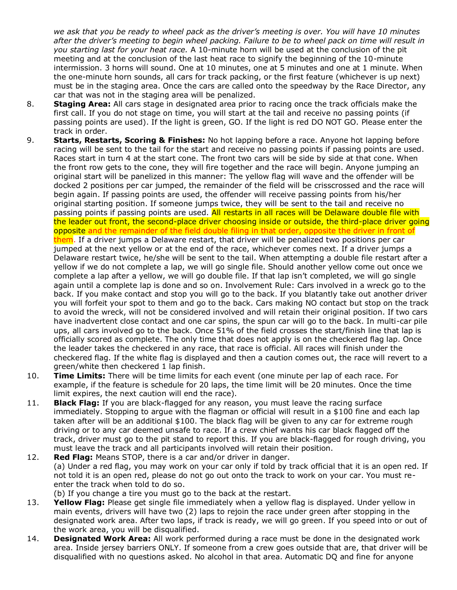*we ask that you be ready to wheel pack as the driver's meeting is over. You will have 10 minutes after the driver's meeting to begin wheel packing. Failure to be to wheel pack on time will result in you starting last for your heat race.* A 10-minute horn will be used at the conclusion of the pit meeting and at the conclusion of the last heat race to signify the beginning of the 10-minute intermission. 3 horns will sound. One at 10 minutes, one at 5 minutes and one at 1 minute. When the one-minute horn sounds, all cars for track packing, or the first feature (whichever is up next) must be in the staging area. Once the cars are called onto the speedway by the Race Director, any car that was not in the staging area will be penalized.

- 8. **Staging Area:** All cars stage in designated area prior to racing once the track officials make the first call. If you do not stage on time, you will start at the tail and receive no passing points (if passing points are used). If the light is green, GO. If the light is red DO NOT GO. Please enter the track in order.
- 9. **Starts, Restarts, Scoring & Finishes:** No hot lapping before a race. Anyone hot lapping before racing will be sent to the tail for the start and receive no passing points if passing points are used. Races start in turn 4 at the start cone. The front two cars will be side by side at that cone. When the front row gets to the cone, they will fire together and the race will begin. Anyone jumping an original start will be panelized in this manner: The yellow flag will wave and the offender will be docked 2 positions per car jumped, the remainder of the field will be crisscrossed and the race will begin again. If passing points are used, the offender will receive passing points from his/her original starting position. If someone jumps twice, they will be sent to the tail and receive no passing points if passing points are used. All restarts in all races will be Delaware double file with the leader out front, the second-place driver choosing inside or outside, the third-place driver going opposite and the remainder of the field double filing in that order, opposite the driver in front of them. If a driver jumps a Delaware restart, that driver will be penalized two positions per car jumped at the next yellow or at the end of the race, whichever comes next. If a driver jumps a Delaware restart twice, he/she will be sent to the tail. When attempting a double file restart after a yellow if we do not complete a lap, we will go single file. Should another yellow come out once we complete a lap after a yellow, we will go double file. If that lap isn't completed, we will go single again until a complete lap is done and so on. Involvement Rule: Cars involved in a wreck go to the back. If you make contact and stop you will go to the back. If you blatantly take out another driver you will forfeit your spot to them and go to the back. Cars making NO contact but stop on the track to avoid the wreck, will not be considered involved and will retain their original position. If two cars have inadvertent close contact and one car spins, the spun car will go to the back. In multi-car pile ups, all cars involved go to the back. Once 51% of the field crosses the start/finish line that lap is officially scored as complete. The only time that does not apply is on the checkered flag lap. Once the leader takes the checkered in any race, that race is official. All races will finish under the checkered flag. If the white flag is displayed and then a caution comes out, the race will revert to a green/white then checkered 1 lap finish.
- 10. **Time Limits:** There will be time limits for each event (one minute per lap of each race. For example, if the feature is schedule for 20 laps, the time limit will be 20 minutes. Once the time limit expires, the next caution will end the race).
- 11. **Black Flag:** If you are black-flagged for any reason, you must leave the racing surface immediately. Stopping to argue with the flagman or official will result in a \$100 fine and each lap taken after will be an additional \$100. The black flag will be given to any car for extreme rough driving or to any car deemed unsafe to race. If a crew chief wants his car black flagged off the track, driver must go to the pit stand to report this. If you are black-flagged for rough driving, you must leave the track and all participants involved will retain their position.
- 12. **Red Flag:** Means STOP, there is a car and/or driver in danger. (a) Under a red flag, you may work on your car only if told by track official that it is an open red. If not told it is an open red, please do not go out onto the track to work on your car. You must reenter the track when told to do so.
	- (b) If you change a tire you must go to the back at the restart.
- 13. **Yellow Flag:** Please get single file immediately when a yellow flag is displayed. Under yellow in main events, drivers will have two (2) laps to rejoin the race under green after stopping in the designated work area. After two laps, if track is ready, we will go green. If you speed into or out of the work area, you will be disqualified.
- 14. **Designated Work Area:** All work performed during a race must be done in the designated work area. Inside jersey barriers ONLY. If someone from a crew goes outside that are, that driver will be disqualified with no questions asked. No alcohol in that area. Automatic DQ and fine for anyone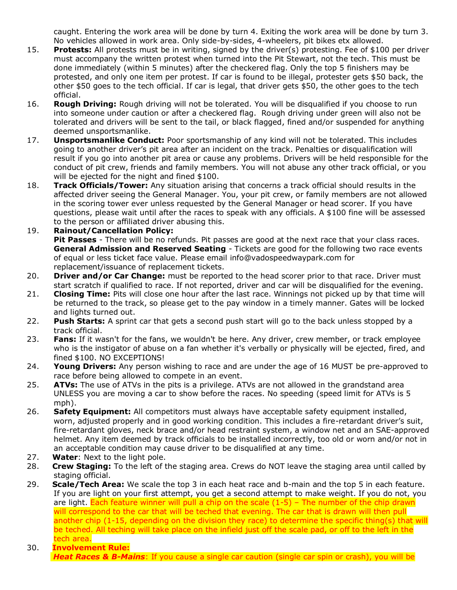caught. Entering the work area will be done by turn 4. Exiting the work area will be done by turn 3. No vehicles allowed in work area. Only side-by-sides, 4-wheelers, pit bikes etx allowed.

- 15. **Protests:** All protests must be in writing, signed by the driver(s) protesting. Fee of \$100 per driver must accompany the written protest when turned into the Pit Stewart, not the tech. This must be done immediately (within 5 minutes) after the checkered flag. Only the top 5 finishers may be protested, and only one item per protest. If car is found to be illegal, protester gets \$50 back, the other \$50 goes to the tech official. If car is legal, that driver gets \$50, the other goes to the tech official.
- 16. **Rough Driving:** Rough driving will not be tolerated. You will be disqualified if you choose to run into someone under caution or after a checkered flag. Rough driving under green will also not be tolerated and drivers will be sent to the tail, or black flagged, fined and/or suspended for anything deemed unsportsmanlike.
- 17. **Unsportsmanlike Conduct:** Poor sportsmanship of any kind will not be tolerated. This includes going to another driver's pit area after an incident on the track. Penalties or disqualification will result if you go into another pit area or cause any problems. Drivers will be held responsible for the conduct of pit crew, friends and family members. You will not abuse any other track official, or you will be ejected for the night and fined \$100.
- 18. **Track Officials/Tower:** Any situation arising that concerns a track official should results in the affected driver seeing the General Manager. You, your pit crew, or family members are not allowed in the scoring tower ever unless requested by the General Manager or head scorer. If you have questions, please wait until after the races to speak with any officials. A \$100 fine will be assessed to the person or affiliated driver abusing this.

### 19. **Rainout/Cancellation Policy:**

**Pit Passes** - There will be no refunds. Pit passes are good at the next race that your class races. **General Admission and Reserved Seating** - Tickets are good for the following two race events of equal or less ticket face value. Please email [info@vadospeedwaypark.com](mailto:info@vadospeedwaypark.com) for replacement/issuance of replacement tickets.

- 20. **Driver and/or Car Change:** must be reported to the head scorer prior to that race. Driver must start scratch if qualified to race. If not reported, driver and car will be disqualified for the evening.
- 21. **Closing Time:** Pits will close one hour after the last race. Winnings not picked up by that time will be returned to the track, so please get to the pay window in a timely manner. Gates will be locked and lights turned out.
- 22. **Push Starts:** A sprint car that gets a second push start will go to the back unless stopped by a track official.
- 23. **Fans:** If it wasn't for the fans, we wouldn't be here. Any driver, crew member, or track employee who is the instigator of abuse on a fan whether it's verbally or physically will be ejected, fired, and fined \$100. NO EXCEPTIONS!
- 24. **Young Drivers:** Any person wishing to race and are under the age of 16 MUST be pre-approved to race before being allowed to compete in an event.
- 25. **ATVs:** The use of ATVs in the pits is a privilege. ATVs are not allowed in the grandstand area UNLESS you are moving a car to show before the races. No speeding (speed limit for ATVs is 5 mph).
- 26. **Safety Equipment:** All competitors must always have acceptable safety equipment installed, worn, adjusted properly and in good working condition. This includes a fire-retardant driver's suit, fire-retardant gloves, neck brace and/or head restraint system, a window net and an SAE-approved helmet. Any item deemed by track officials to be installed incorrectly, too old or worn and/or not in an acceptable condition may cause driver to be disqualified at any time.
- 27. **Water**: Next to the light pole.
- 28. **Crew Staging:** To the left of the staging area. Crews do NOT leave the staging area until called by staging official.
- 29. **Scale/Tech Area:** We scale the top 3 in each heat race and b-main and the top 5 in each feature. If you are light on your first attempt, you get a second attempt to make weight. If you do not, you are light. Each feature winner will pull a chip on the scale  $(1-5)$  – The number of the chip drawn will correspond to the car that will be teched that evening. The car that is drawn will then pull another chip (1-15, depending on the division they race) to determine the specific thing(s) that will be teched. All teching will take place on the infield just off the scale pad, or off to the left in the tech area.
- 30. **Involvement Rule: Heat Races & B-Mains**: If you cause a single car caution (single car spin or crash), you will be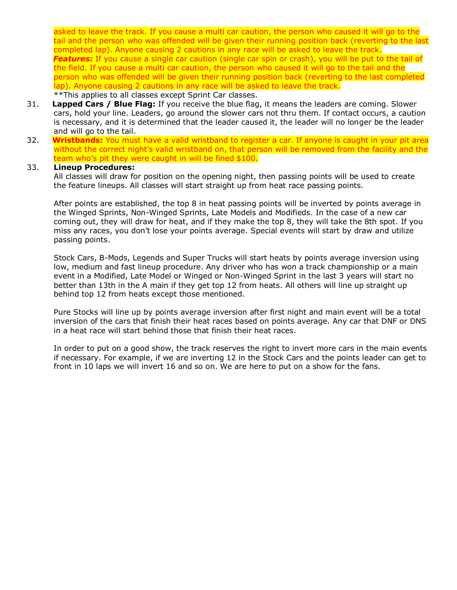asked to leave the track. If you cause a multi car caution, the person who caused it will go to the tail and the person who was offended will be given their running position back (reverting to the last completed lap). Anyone causing 2 cautions in any race will be asked to leave the track. *Features:* If you cause a single car caution (single car spin or crash), you will be put to the tail of the field. If you cause a multi car caution, the person who caused it will go to the tail and the person who was offended will be given their running position back (reverting to the last completed lap). Anyone causing 2 cautions in any race will be asked to leave the track.

### \*\*This applies to all classes except Sprint Car classes.

- 31. **Lapped Cars / Blue Flag:** If you receive the blue flag, it means the leaders are coming. Slower cars, hold your line. Leaders, go around the slower cars not thru them. If contact occurs, a caution is necessary, and it is determined that the leader caused it, the leader will no longer be the leader and will go to the tail.
- 32. **Wristbands:** You must have a valid wristband to register a car. If anyone is caught in your pit area without the correct night's valid wristband on, that person will be removed from the facility and the team who's pit they were caught in will be fined \$100.

#### 33. **Lineup Procedures:**

All classes will draw for position on the opening night, then passing points will be used to create the feature lineups. All classes will start straight up from heat race passing points.

After points are established, the top 8 in heat passing points will be inverted by points average in the Winged Sprints, Non-Winged Sprints, Late Models and Modifieds. In the case of a new car coming out, they will draw for heat, and if they make the top 8, they will take the 8th spot. If you miss any races, you don't lose your points average. Special events will start by draw and utilize passing points.

Stock Cars, B-Mods, Legends and Super Trucks will start heats by points average inversion using low, medium and fast lineup procedure. Any driver who has won a track championship or a main event in a Modified, Late Model or Winged or Non-Winged Sprint in the last 3 years will start no better than 13th in the A main if they get top 12 from heats. All others will line up straight up behind top 12 from heats except those mentioned.

Pure Stocks will line up by points average inversion after first night and main event will be a total inversion of the cars that finish their heat races based on points average. Any car that DNF or DNS in a heat race will start behind those that finish their heat races.

In order to put on a good show, the track reserves the right to invert more cars in the main events if necessary. For example, if we are inverting 12 in the Stock Cars and the points leader can get to front in 10 laps we will invert 16 and so on. We are here to put on a show for the fans.